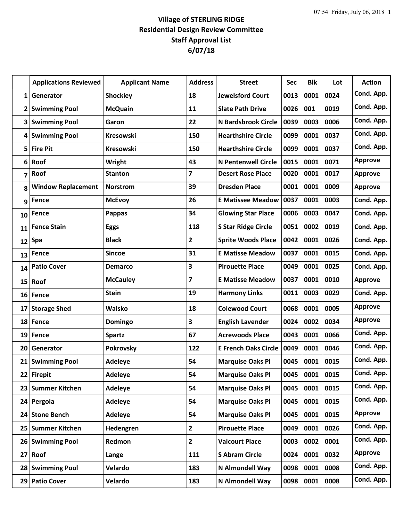## **Village of STERLING RIDGE Residential Design Review Committee Staff Approval List 6/07/18**

|                 | <b>Applications Reviewed</b> | <b>Applicant Name</b> | <b>Address</b>          | <b>Street</b>               | Sec  | <b>Blk</b> | Lot  | <b>Action</b>  |
|-----------------|------------------------------|-----------------------|-------------------------|-----------------------------|------|------------|------|----------------|
| $\mathbf{1}$    | Generator                    | <b>Shockley</b>       | 18                      | <b>Jewelsford Court</b>     | 0013 | 0001       | 0024 | Cond. App.     |
| $\mathbf{2}$    | <b>Swimming Pool</b>         | <b>McQuain</b>        | 11                      | <b>Slate Path Drive</b>     | 0026 | 001        | 0019 | Cond. App.     |
| 3               | <b>Swimming Pool</b>         | Garon                 | 22                      | <b>N Bardsbrook Circle</b>  | 0039 | 0003       | 0006 | Cond. App.     |
| 4               | <b>Swimming Pool</b>         | <b>Kresowski</b>      | 150                     | <b>Hearthshire Circle</b>   | 0099 | 0001       | 0037 | Cond. App.     |
| 5               | <b>Fire Pit</b>              | <b>Kresowski</b>      | 150                     | <b>Hearthshire Circle</b>   | 0099 | 0001       | 0037 | Cond. App.     |
| 6               | Roof                         | Wright                | 43                      | <b>N Pentenwell Circle</b>  | 0015 | 0001       | 0071 | <b>Approve</b> |
| 7               | Roof                         | <b>Stanton</b>        | $\overline{\mathbf{z}}$ | <b>Desert Rose Place</b>    | 0020 | 0001       | 0017 | <b>Approve</b> |
| 8               | <b>Window Replacement</b>    | <b>Norstrom</b>       | 39                      | <b>Dresden Place</b>        | 0001 | 0001       | 0009 | <b>Approve</b> |
| 9               | <b>Fence</b>                 | <b>McEvoy</b>         | 26                      | <b>E Matissee Meadow</b>    | 0037 | 0001       | 0003 | Cond. App.     |
| 10              | Fence                        | Pappas                | 34                      | <b>Glowing Star Place</b>   | 0006 | 0003       | 0047 | Cond. App.     |
| 11              | <b>Fence Stain</b>           | <b>Eggs</b>           | 118                     | <b>S Star Ridge Circle</b>  | 0051 | 0002       | 0019 | Cond. App.     |
| 12              | Spa                          | <b>Black</b>          | $\overline{2}$          | <b>Sprite Woods Place</b>   | 0042 | 0001       | 0026 | Cond. App.     |
| 13              | Fence                        | <b>Sincoe</b>         | 31                      | <b>E Matisse Meadow</b>     | 0037 | 0001       | 0015 | Cond. App.     |
| 14              | <b>Patio Cover</b>           | <b>Demarco</b>        | 3                       | <b>Pirouette Place</b>      | 0049 | 0001       | 0025 | Cond. App.     |
| 15              | Roof                         | <b>McCauley</b>       | $\overline{\mathbf{z}}$ | <b>E Matisse Meadow</b>     | 0037 | 0001       | 0010 | <b>Approve</b> |
| 16              | Fence                        | <b>Stein</b>          | 19                      | <b>Harmony Links</b>        | 0011 | 0003       | 0029 | Cond. App.     |
| 17              | <b>Storage Shed</b>          | Walsko                | 18                      | <b>Colewood Court</b>       | 0068 | 0001       | 0005 | <b>Approve</b> |
| 18              | Fence                        | Domingo               | 3                       | <b>English Lavender</b>     | 0024 | 0002       | 0034 | <b>Approve</b> |
| 19              | Fence                        | <b>Spartz</b>         | 67                      | <b>Acrewoods Place</b>      | 0043 | 0001       | 0066 | Cond. App.     |
| 20              | Generator                    | <b>Pokrovsky</b>      | 122                     | <b>E French Oaks Circle</b> | 0049 | 0001       | 0046 | Cond. App.     |
| 21 <sub>1</sub> | <b>Swimming Pool</b>         | Adeleye               | 54                      | <b>Marquise Oaks Pl</b>     | 0045 | 0001       | 0015 | Cond. App.     |
| 22              | <b>Firepit</b>               | <b>Adeleye</b>        | 54                      | <b>Marquise Oaks Pl</b>     | 0045 | 0001       | 0015 | Cond. App.     |
| 23              | <b>Summer Kitchen</b>        | <b>Adeleye</b>        | 54                      | <b>Marquise Oaks Pl</b>     | 0045 | 0001       | 0015 | Cond. App.     |
| 24              | Pergola                      | <b>Adeleye</b>        | 54                      | <b>Marquise Oaks Pl</b>     | 0045 | 0001       | 0015 | Cond. App.     |
| 24              | <b>Stone Bench</b>           | Adeleye               | 54                      | <b>Marquise Oaks Pl</b>     | 0045 | 0001       | 0015 | <b>Approve</b> |
| 25              | <b>Summer Kitchen</b>        | Hedengren             | $\overline{2}$          | <b>Pirouette Place</b>      | 0049 | 0001       | 0026 | Cond. App.     |
| 26              | <b>Swimming Pool</b>         | Redmon                | $\overline{2}$          | <b>Valcourt Place</b>       | 0003 | 0002       | 0001 | Cond. App.     |
| 27 <sub>2</sub> | Roof                         | Lange                 | 111                     | <b>S Abram Circle</b>       | 0024 | 0001       | 0032 | <b>Approve</b> |
| 28              | <b>Swimming Pool</b>         | Velardo               | 183                     | N Almondell Way             | 0098 | 0001       | 0008 | Cond. App.     |
| 29              | <b>Patio Cover</b>           | Velardo               | 183                     | N Almondell Way             | 0098 | 0001       | 0008 | Cond. App.     |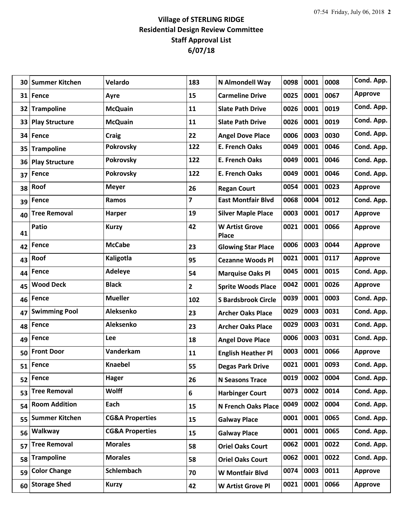## **Village of STERLING RIDGE Residential Design Review Committee Staff Approval List 6/07/18**

| 30 | <b>Summer Kitchen</b> | Velardo                    | 183            | N Almondell Way                | 0098 | 0001 | 0008 | Cond. App.     |
|----|-----------------------|----------------------------|----------------|--------------------------------|------|------|------|----------------|
|    | 31 Fence              | Ayre                       | 15             | <b>Carmeline Drive</b>         | 0025 | 0001 | 0067 | <b>Approve</b> |
| 32 | <b>Trampoline</b>     | <b>McQuain</b>             | 11             | <b>Slate Path Drive</b>        | 0026 | 0001 | 0019 | Cond. App.     |
| 33 | <b>Play Structure</b> | <b>McQuain</b>             | 11             | <b>Slate Path Drive</b>        | 0026 | 0001 | 0019 | Cond. App.     |
| 34 | Fence                 | Craig                      | 22             | <b>Angel Dove Place</b>        | 0006 | 0003 | 0030 | Cond. App.     |
| 35 | <b>Trampoline</b>     | <b>Pokrovsky</b>           | 122            | <b>E. French Oaks</b>          | 0049 | 0001 | 0046 | Cond. App.     |
| 36 | <b>Play Structure</b> | <b>Pokrovsky</b>           | 122            | <b>E. French Oaks</b>          | 0049 | 0001 | 0046 | Cond. App.     |
| 37 | Fence                 | <b>Pokrovsky</b>           | 122            | <b>E. French Oaks</b>          | 0049 | 0001 | 0046 | Cond. App.     |
| 38 | Roof                  | <b>Meyer</b>               | 26             | <b>Regan Court</b>             | 0054 | 0001 | 0023 | <b>Approve</b> |
| 39 | Fence                 | Ramos                      | 7              | <b>East Montfair Blvd</b>      | 0068 | 0004 | 0012 | Cond. App.     |
| 40 | <b>Tree Removal</b>   | <b>Harper</b>              | 19             | <b>Silver Maple Place</b>      | 0003 | 0001 | 0017 | <b>Approve</b> |
| 41 | Patio                 | <b>Kurzy</b>               | 42             | <b>W Artist Grove</b><br>Place | 0021 | 0001 | 0066 | <b>Approve</b> |
| 42 | Fence                 | <b>McCabe</b>              | 23             | <b>Glowing Star Place</b>      | 0006 | 0003 | 0044 | <b>Approve</b> |
| 43 | Roof                  | Kaligotla                  | 95             | <b>Cezanne Woods Pl</b>        | 0021 | 0001 | 0117 | <b>Approve</b> |
| 44 | <b>Fence</b>          | <b>Adeleye</b>             | 54             | <b>Marquise Oaks Pl</b>        | 0045 | 0001 | 0015 | Cond. App.     |
| 45 | <b>Wood Deck</b>      | <b>Black</b>               | $\overline{2}$ | <b>Sprite Woods Place</b>      | 0042 | 0001 | 0026 | <b>Approve</b> |
| 46 | Fence                 | <b>Mueller</b>             | 102            | <b>S Bardsbrook Circle</b>     | 0039 | 0001 | 0003 | Cond. App.     |
| 47 | <b>Swimming Pool</b>  | Aleksenko                  | 23             | <b>Archer Oaks Place</b>       | 0029 | 0003 | 0031 | Cond. App.     |
| 48 | <b>Fence</b>          | Aleksenko                  | 23             | <b>Archer Oaks Place</b>       | 0029 | 0003 | 0031 | Cond. App.     |
| 49 | Fence                 | Lee                        | 18             | <b>Angel Dove Place</b>        | 0006 | 0003 | 0031 | Cond. App.     |
| 50 | <b>Front Door</b>     | Vanderkam                  | 11             | <b>English Heather Pl</b>      | 0003 | 0001 | 0066 | <b>Approve</b> |
| 51 | Fence                 | <b>Knaebel</b>             | 55             | <b>Degas Park Drive</b>        | 0021 | 0001 | 0093 | Cond. App.     |
| 52 | Fence                 | <b>Hager</b>               | 26             | <b>N Seasons Trace</b>         | 0019 | 0002 | 0004 | Cond. App.     |
| 53 | <b>Tree Removal</b>   | <b>Wolff</b>               | 6              | <b>Harbinger Court</b>         | 0073 | 0002 | 0014 | Cond. App.     |
| 54 | <b>Room Addition</b>  | Each                       | 15             | N French Oaks Place            | 0049 | 0002 | 0004 | Cond. App.     |
| 55 | <b>Summer Kitchen</b> | <b>CG&amp;A Properties</b> | 15             | <b>Galway Place</b>            | 0001 | 0001 | 0065 | Cond. App.     |
| 56 | Walkway               | <b>CG&amp;A Properties</b> | 15             | <b>Galway Place</b>            | 0001 | 0001 | 0065 | Cond. App.     |
| 57 | <b>Tree Removal</b>   | <b>Morales</b>             | 58             | <b>Oriel Oaks Court</b>        | 0062 | 0001 | 0022 | Cond. App.     |
| 58 | <b>Trampoline</b>     | <b>Morales</b>             | 58             | <b>Oriel Oaks Court</b>        | 0062 | 0001 | 0022 | Cond. App.     |
| 59 | <b>Color Change</b>   | Schlembach                 | 70             | W Montfair Blvd                | 0074 | 0003 | 0011 | <b>Approve</b> |
| 60 | <b>Storage Shed</b>   | <b>Kurzy</b>               | 42             | W Artist Grove Pl              | 0021 | 0001 | 0066 | <b>Approve</b> |